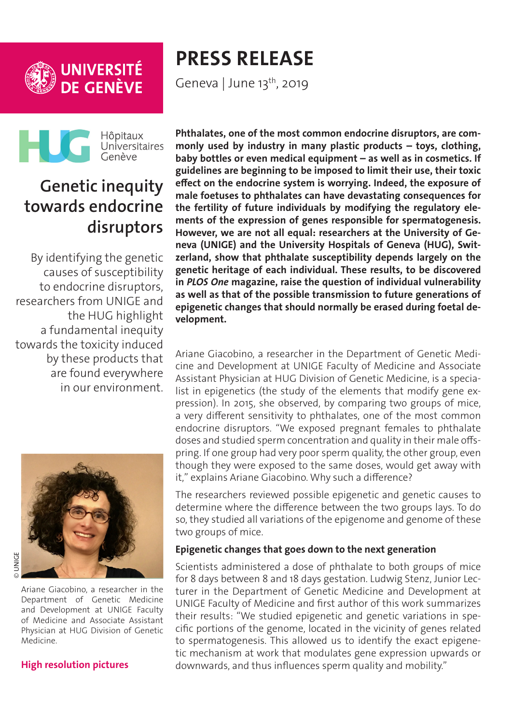



Geneva | June 13<sup>th</sup>, 2019



# **Genetic inequity towards endocrine disruptors**

By identifying the genetic causes of susceptibility to endocrine disruptors, researchers from UNIGE and the HUG highlight a fundamental inequity towards the toxicity induced by these products that are found everywhere in our environment.



Ariane Giacobino, a researcher in the Department of Genetic Medicine and Development at UNIGE Faculty of Medicine and Associate Assistant Physician at HUG Division of Genetic Medicine.

#### **[High resolution pictures](https://phototheque.unige.ch/documents/facets?newFacet=mot.cle.marc%3DCdP_190612_Giacobino&clearFacets=1)**

**Phthalates, one of the most common endocrine disruptors, are commonly used by industry in many plastic products – toys, clothing, baby bottles or even medical equipment – as well as in cosmetics. If guidelines are beginning to be imposed to limit their use, their toxic effect on the endocrine system is worrying. Indeed, the exposure of male foetuses to phthalates can have devastating consequences for the fertility of future individuals by modifying the regulatory elements of the expression of genes responsible for spermatogenesis. However, we are not all equal: researchers at the University of Geneva (UNIGE) and the University Hospitals of Geneva (HUG), Switzerland, show that phthalate susceptibility depends largely on the genetic heritage of each individual. These results, to be discovered in** *PLOS One* **magazine, raise the question of individual vulnerability as well as that of the possible transmission to future generations of epigenetic changes that should normally be erased during foetal development.**

Ariane Giacobino, a researcher in the Department of Genetic Medicine and Development at UNIGE Faculty of Medicine and Associate Assistant Physician at HUG Division of Genetic Medicine, is a specialist in epigenetics (the study of the elements that modify gene expression). In 2015, she observed, by comparing two groups of mice, a very different sensitivity to phthalates, one of the most common endocrine disruptors. "We exposed pregnant females to phthalate doses and studied sperm concentration and quality in their male offspring. If one group had very poor sperm quality, the other group, even though they were exposed to the same doses, would get away with it," explains Ariane Giacobino. Why such a difference?

The researchers reviewed possible epigenetic and genetic causes to determine where the difference between the two groups lays. To do so, they studied all variations of the epigenome and genome of these two groups of mice.

### **Epigenetic changes that goes down to the next generation**

Scientists administered a dose of phthalate to both groups of mice for 8 days between 8 and 18 days gestation. Ludwig Stenz, Junior Lecturer in the Department of Genetic Medicine and Development at UNIGE Faculty of Medicine and first author of this work summarizes their results: "We studied epigenetic and genetic variations in specific portions of the genome, located in the vicinity of genes related to spermatogenesis. This allowed us to identify the exact epigenetic mechanism at work that modulates gene expression upwards or downwards, and thus influences sperm quality and mobility."